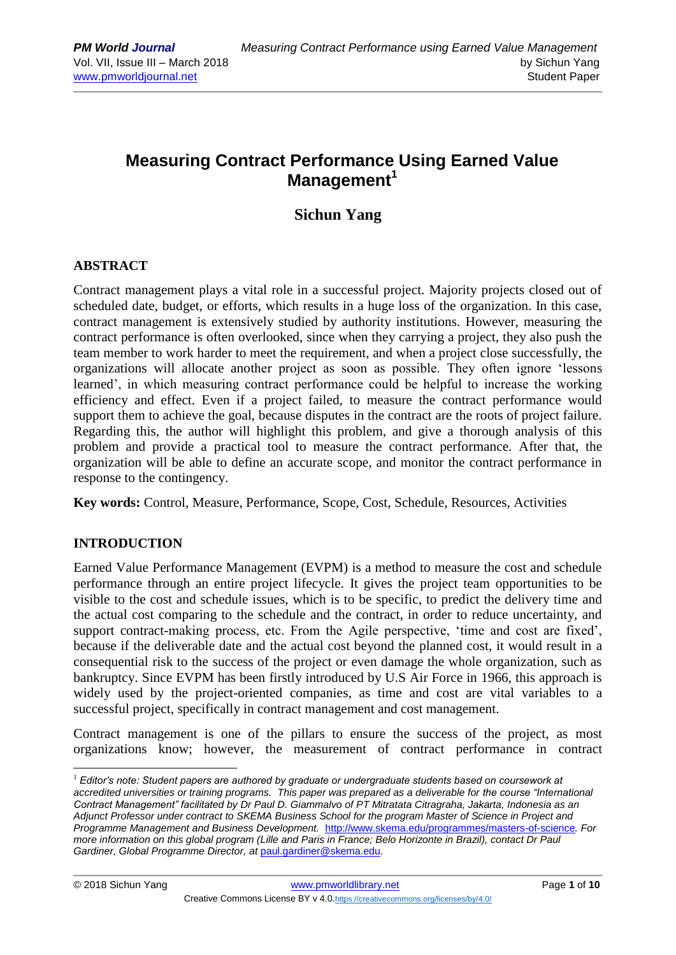# **Measuring Contract Performance Using Earned Value Management<sup>1</sup>**

## **Sichun Yang**

## **ABSTRACT**

Contract management plays a vital role in a successful project. Majority projects closed out of scheduled date, budget, or efforts, which results in a huge loss of the organization. In this case, contract management is extensively studied by authority institutions. However, measuring the contract performance is often overlooked, since when they carrying a project, they also push the team member to work harder to meet the requirement, and when a project close successfully, the organizations will allocate another project as soon as possible. They often ignore 'lessons learned', in which measuring contract performance could be helpful to increase the working efficiency and effect. Even if a project failed, to measure the contract performance would support them to achieve the goal, because disputes in the contract are the roots of project failure. Regarding this, the author will highlight this problem, and give a thorough analysis of this problem and provide a practical tool to measure the contract performance. After that, the organization will be able to define an accurate scope, and monitor the contract performance in response to the contingency.

**Key words:** Control, Measure, Performance, Scope, Cost, Schedule, Resources, Activities

## **INTRODUCTION**

Earned Value Performance Management (EVPM) is a method to measure the cost and schedule performance through an entire project lifecycle. It gives the project team opportunities to be visible to the cost and schedule issues, which is to be specific, to predict the delivery time and the actual cost comparing to the schedule and the contract, in order to reduce uncertainty, and support contract-making process, etc. From the Agile perspective, 'time and cost are fixed', because if the deliverable date and the actual cost beyond the planned cost, it would result in a consequential risk to the success of the project or even damage the whole organization, such as bankruptcy. Since EVPM has been firstly introduced by U.S Air Force in 1966, this approach is widely used by the project-oriented companies, as time and cost are vital variables to a successful project, specifically in contract management and cost management.

Contract management is one of the pillars to ensure the success of the project, as most organizations know; however, the measurement of contract performance in contract

 $\overline{a}$ <sup>1</sup> *Editor's note: Student papers are authored by graduate or undergraduate students based on coursework at accredited universities or training programs. This paper was prepared as a deliverable for the course "International Contract Management" facilitated by Dr Paul D. Giammalvo of PT Mitratata Citragraha, Jakarta, Indonesia as an Adjunct Professor under contract to SKEMA Business School for the program Master of Science in Project and Programme Management and Business Development.* <http://www.skema.edu/programmes/masters-of-science>*. For more information on this global program (Lille and Paris in France; Belo Horizonte in Brazil), contact Dr Paul Gardiner, Global Programme Director, at* [paul.gardiner@skema.edu](mailto:paul.gardiner@skema.edu)*.*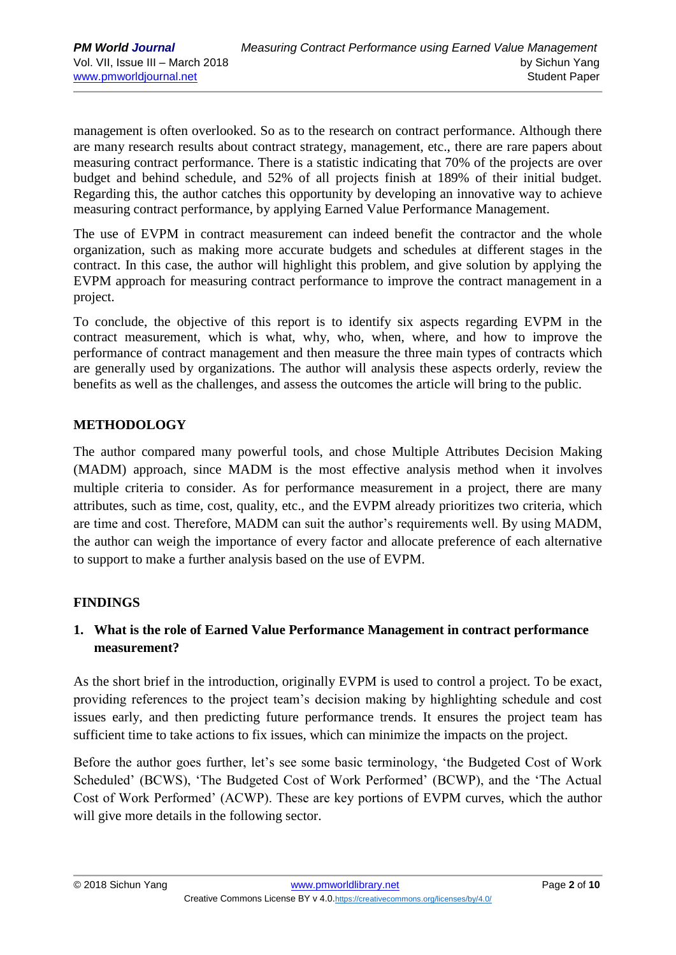management is often overlooked. So as to the research on contract performance. Although there are many research results about contract strategy, management, etc., there are rare papers about measuring contract performance. There is a statistic indicating that 70% of the projects are over budget and behind schedule, and 52% of all projects finish at 189% of their initial budget. Regarding this, the author catches this opportunity by developing an innovative way to achieve measuring contract performance, by applying Earned Value Performance Management.

The use of EVPM in contract measurement can indeed benefit the contractor and the whole organization, such as making more accurate budgets and schedules at different stages in the contract. In this case, the author will highlight this problem, and give solution by applying the EVPM approach for measuring contract performance to improve the contract management in a project.

To conclude, the objective of this report is to identify six aspects regarding EVPM in the contract measurement, which is what, why, who, when, where, and how to improve the performance of contract management and then measure the three main types of contracts which are generally used by organizations. The author will analysis these aspects orderly, review the benefits as well as the challenges, and assess the outcomes the article will bring to the public.

## **METHODOLOGY**

The author compared many powerful tools, and chose Multiple Attributes Decision Making (MADM) approach, since MADM is the most effective analysis method when it involves multiple criteria to consider. As for performance measurement in a project, there are many attributes, such as time, cost, quality, etc., and the EVPM already prioritizes two criteria, which are time and cost. Therefore, MADM can suit the author's requirements well. By using MADM, the author can weigh the importance of every factor and allocate preference of each alternative to support to make a further analysis based on the use of EVPM.

## **FINDINGS**

## **1. What is the role of Earned Value Performance Management in contract performance measurement?**

As the short brief in the introduction, originally EVPM is used to control a project. To be exact, providing references to the project team's decision making by highlighting schedule and cost issues early, and then predicting future performance trends. It ensures the project team has sufficient time to take actions to fix issues, which can minimize the impacts on the project.

Before the author goes further, let's see some basic terminology, 'the Budgeted Cost of Work Scheduled' (BCWS), 'The Budgeted Cost of Work Performed' (BCWP), and the 'The Actual Cost of Work Performed' (ACWP). These are key portions of EVPM curves, which the author will give more details in the following sector.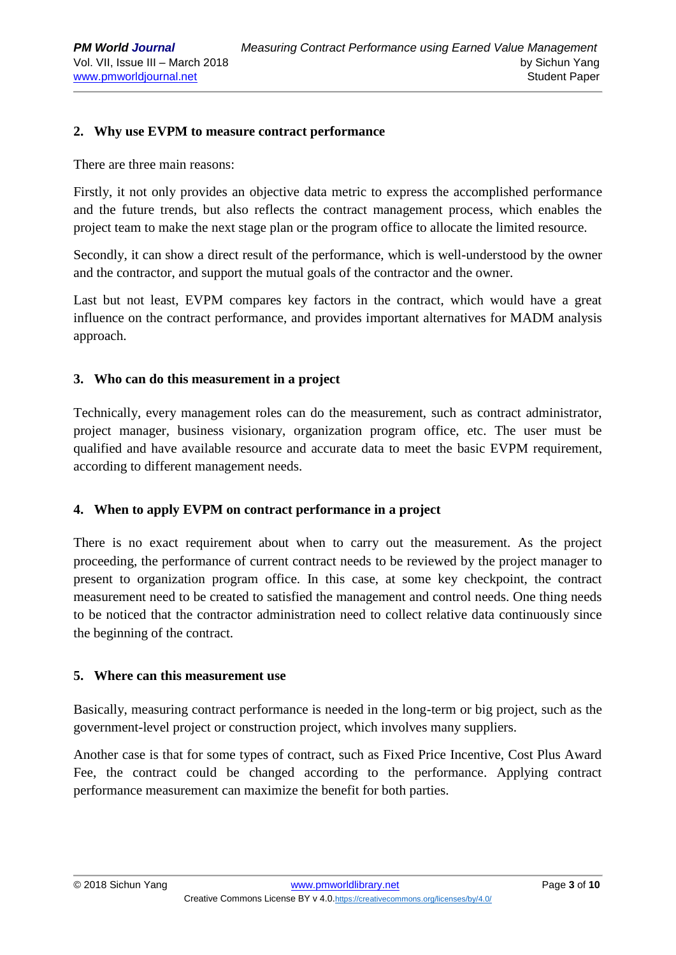#### **2. Why use EVPM to measure contract performance**

There are three main reasons:

Firstly, it not only provides an objective data metric to express the accomplished performance and the future trends, but also reflects the contract management process, which enables the project team to make the next stage plan or the program office to allocate the limited resource.

Secondly, it can show a direct result of the performance, which is well-understood by the owner and the contractor, and support the mutual goals of the contractor and the owner.

Last but not least, EVPM compares key factors in the contract, which would have a great influence on the contract performance, and provides important alternatives for MADM analysis approach.

#### **3. Who can do this measurement in a project**

Technically, every management roles can do the measurement, such as contract administrator, project manager, business visionary, organization program office, etc. The user must be qualified and have available resource and accurate data to meet the basic EVPM requirement, according to different management needs.

#### **4. When to apply EVPM on contract performance in a project**

There is no exact requirement about when to carry out the measurement. As the project proceeding, the performance of current contract needs to be reviewed by the project manager to present to organization program office. In this case, at some key checkpoint, the contract measurement need to be created to satisfied the management and control needs. One thing needs to be noticed that the contractor administration need to collect relative data continuously since the beginning of the contract.

#### **5. Where can this measurement use**

Basically, measuring contract performance is needed in the long-term or big project, such as the government-level project or construction project, which involves many suppliers.

Another case is that for some types of contract, such as Fixed Price Incentive, Cost Plus Award Fee, the contract could be changed according to the performance. Applying contract performance measurement can maximize the benefit for both parties.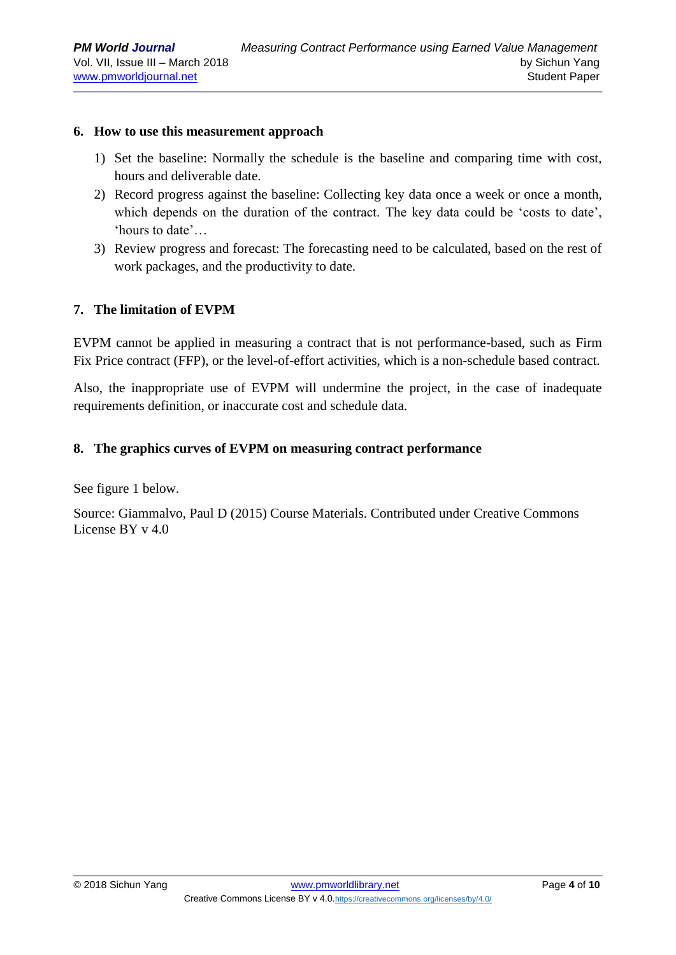#### **6. How to use this measurement approach**

- 1) Set the baseline: Normally the schedule is the baseline and comparing time with cost, hours and deliverable date.
- 2) Record progress against the baseline: Collecting key data once a week or once a month, which depends on the duration of the contract. The key data could be 'costs to date', 'hours to date'…
- 3) Review progress and forecast: The forecasting need to be calculated, based on the rest of work packages, and the productivity to date.

#### **7. The limitation of EVPM**

EVPM cannot be applied in measuring a contract that is not performance-based, such as Firm Fix Price contract (FFP), or the level-of-effort activities, which is a non-schedule based contract.

Also, the inappropriate use of EVPM will undermine the project, in the case of inadequate requirements definition, or inaccurate cost and schedule data.

#### **8. The graphics curves of EVPM on measuring contract performance**

See figure 1 below.

Source: Giammalvo, Paul D (2015) Course Materials. Contributed under [Creative Commons](https://creativecommons.org/licenses/by/4.0/)  [License BY v 4.0](https://creativecommons.org/licenses/by/4.0/)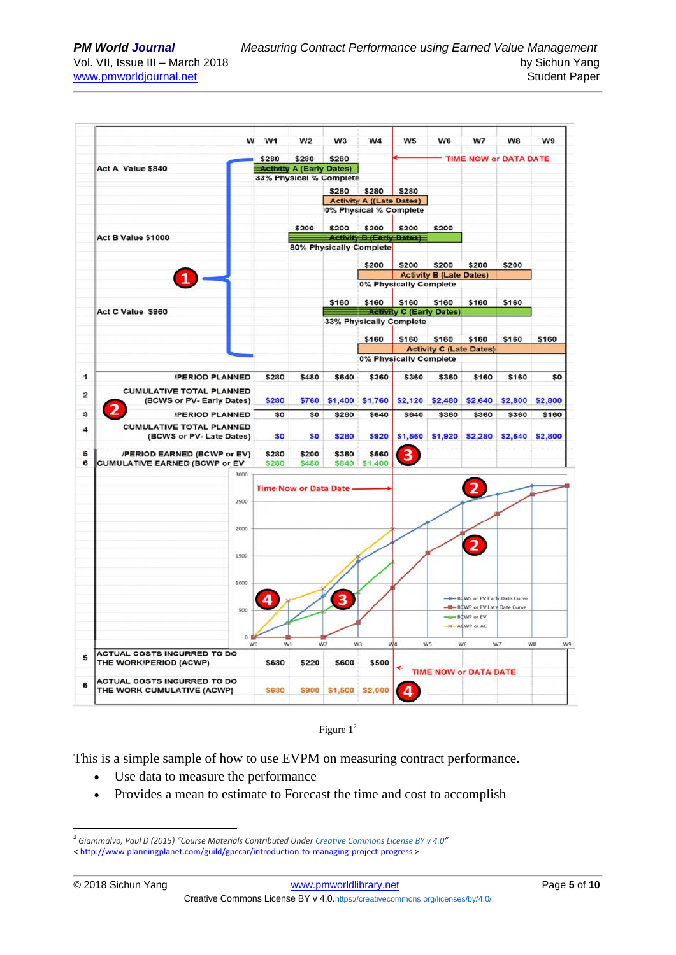

Figure  $1^2$ 

This is a simple sample of how to use EVPM on measuring contract performance.

- Use data to measure the performance
- Provides a mean to estimate to Forecast the time and cost to accomplish

 $\overline{a}$ 

*<sup>2</sup> Giammalvo, Paul D (2015) "Course Materials Contributed Under [Creative Commons License BY v 4.0](https://creativecommons.org/licenses/by/4.0/)"* [< http://www.planningplanet.com/guild/gpccar/introduction-to-managing-project-progress](http://www.planningplanet.com/guild/gpccar/introduction-to-managing-project-progress) >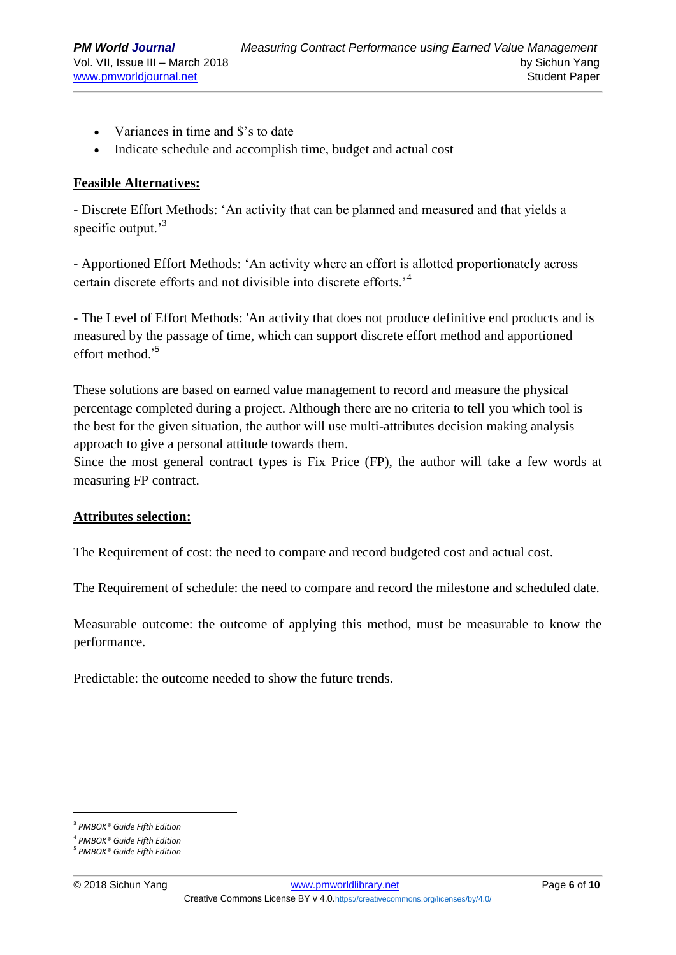- Variances in time and \$'s to date
- Indicate schedule and accomplish time, budget and actual cost

#### **Feasible Alternatives:**

- Discrete Effort Methods: 'An activity that can be planned and measured and that yields a specific output.<sup>3</sup>

- Apportioned Effort Methods: 'An activity where an effort is allotted proportionately across certain discrete efforts and not divisible into discrete efforts.'<sup>4</sup>

- The Level of Effort Methods: 'An activity that does not produce definitive end products and is measured by the passage of time, which can support discrete effort method and apportioned effort method.' 5

These solutions are based on earned value management to record and measure the physical percentage completed during a project. Although there are no criteria to tell you which tool is the best for the given situation, the author will use multi-attributes decision making analysis approach to give a personal attitude towards them.

Since the most general contract types is Fix Price (FP), the author will take a few words at measuring FP contract.

#### **Attributes selection:**

The Requirement of cost: the need to compare and record budgeted cost and actual cost.

The Requirement of schedule: the need to compare and record the milestone and scheduled date.

Measurable outcome: the outcome of applying this method, must be measurable to know the performance.

Predictable: the outcome needed to show the future trends.

 $\overline{a}$ 

<sup>3</sup> *[PMBOK® Guide Fifth Edition](http://www.pmi.org/PMBOK-Guide-and-Standards.aspx)*

<sup>4</sup> *[PMBOK® Guide Fifth Edition](http://www.pmi.org/PMBOK-Guide-and-Standards.aspx)*

<sup>5</sup> *[PMBOK® Guide Fifth Edition](http://www.pmi.org/PMBOK-Guide-and-Standards.aspx)*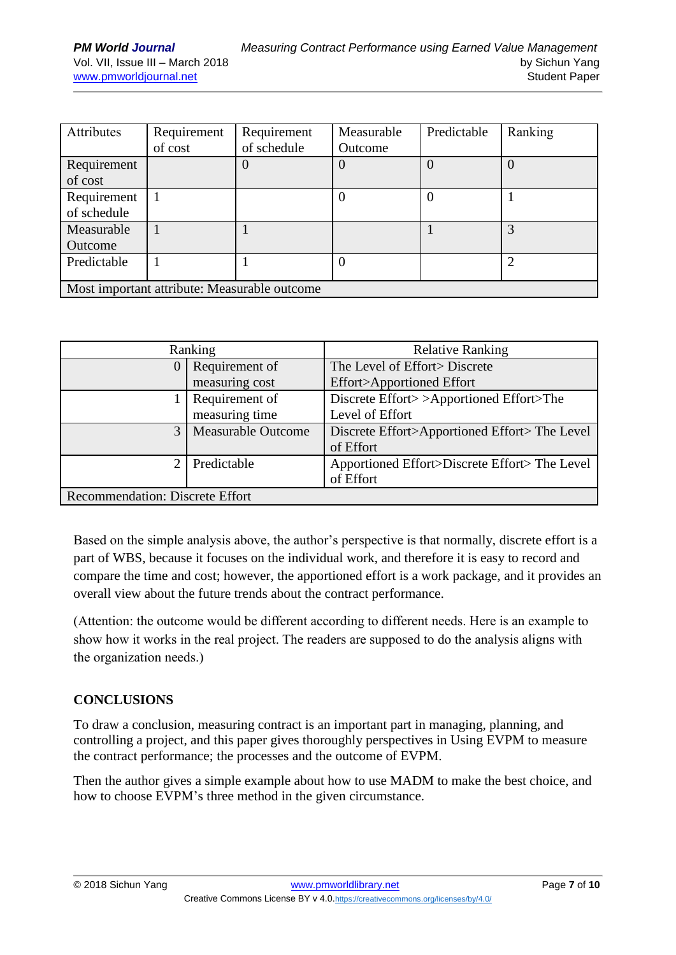| Attributes                                   | Requirement<br>of cost | Requirement<br>of schedule | Measurable<br>Outcome | Predictable | Ranking          |
|----------------------------------------------|------------------------|----------------------------|-----------------------|-------------|------------------|
| Requirement<br>of cost                       |                        | $\theta$                   |                       |             | $\left( \right)$ |
| Requirement<br>of schedule                   |                        |                            |                       |             |                  |
| Measurable<br>Outcome                        |                        |                            |                       |             | 3                |
| Predictable                                  |                        |                            |                       |             |                  |
| Most important attribute: Measurable outcome |                        |                            |                       |             |                  |

|                                        | Ranking                   | <b>Relative Ranking</b>                      |  |  |
|----------------------------------------|---------------------------|----------------------------------------------|--|--|
|                                        | Requirement of            | The Level of Effort > Discrete               |  |  |
|                                        | measuring cost            | Effort>Apportioned Effort                    |  |  |
|                                        | Requirement of            | Discrete Effort>>Apportioned Effort>The      |  |  |
|                                        | measuring time            | Level of Effort                              |  |  |
| $\mathcal{E}$                          | <b>Measurable Outcome</b> | Discrete Effort>Apportioned Effort>The Level |  |  |
|                                        |                           | of Effort                                    |  |  |
|                                        | Predictable               | Apportioned Effort>Discrete Effort>The Level |  |  |
|                                        |                           | of Effort                                    |  |  |
| <b>Recommendation: Discrete Effort</b> |                           |                                              |  |  |

Based on the simple analysis above, the author's perspective is that normally, discrete effort is a part of WBS, because it focuses on the individual work, and therefore it is easy to record and compare the time and cost; however, the apportioned effort is a work package, and it provides an overall view about the future trends about the contract performance.

(Attention: the outcome would be different according to different needs. Here is an example to show how it works in the real project. The readers are supposed to do the analysis aligns with the organization needs.)

## **CONCLUSIONS**

To draw a conclusion, measuring contract is an important part in managing, planning, and controlling a project, and this paper gives thoroughly perspectives in Using EVPM to measure the contract performance; the processes and the outcome of EVPM.

Then the author gives a simple example about how to use MADM to make the best choice, and how to choose EVPM's three method in the given circumstance.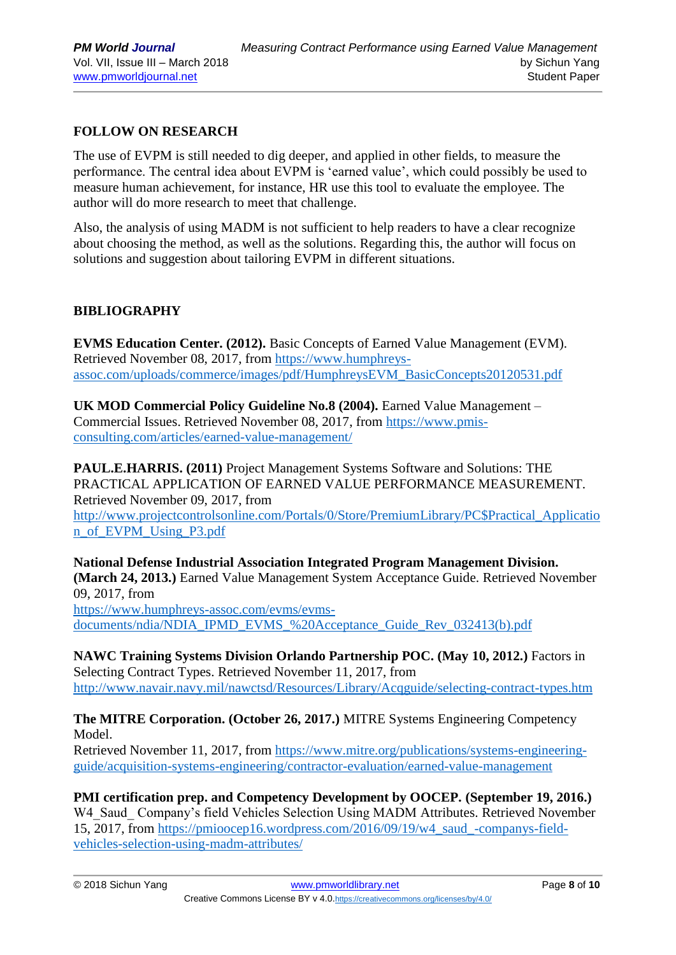## **FOLLOW ON RESEARCH**

The use of EVPM is still needed to dig deeper, and applied in other fields, to measure the performance. The central idea about EVPM is 'earned value', which could possibly be used to measure human achievement, for instance, HR use this tool to evaluate the employee. The author will do more research to meet that challenge.

Also, the analysis of using MADM is not sufficient to help readers to have a clear recognize about choosing the method, as well as the solutions. Regarding this, the author will focus on solutions and suggestion about tailoring EVPM in different situations.

## **BIBLIOGRAPHY**

**EVMS Education Center. (2012).** Basic Concepts of Earned Value Management (EVM). Retrieved November 08, 2017, from [https://www.humphreys](https://www.humphreys-assoc.com/uploads/commerce/images/pdf/HumphreysEVM_BasicConcepts20120531.pdf)[assoc.com/uploads/commerce/images/pdf/HumphreysEVM\\_BasicConcepts20120531.pdf](https://www.humphreys-assoc.com/uploads/commerce/images/pdf/HumphreysEVM_BasicConcepts20120531.pdf) 

**UK MOD Commercial Policy Guideline No.8 (2004).** Earned Value Management – Commercial Issues. Retrieved November 08, 2017, from [https://www.pmis](https://www.pmis-consulting.com/articles/earned-value-management/)[consulting.com/articles/earned-value-management/](https://www.pmis-consulting.com/articles/earned-value-management/)

**PAUL.E.HARRIS. (2011)** Project Management Systems Software and Solutions: THE PRACTICAL APPLICATION OF EARNED VALUE PERFORMANCE MEASUREMENT. Retrieved November 09, 2017, from [http://www.projectcontrolsonline.com/Portals/0/Store/PremiumLibrary/PC\\$Practical\\_Applicatio](http://www.projectcontrolsonline.com/Portals/0/Store/PremiumLibrary/PC$Practical_Application_of_EVPM_Using_P3.pdf) [n\\_of\\_EVPM\\_Using\\_P3.pdf](http://www.projectcontrolsonline.com/Portals/0/Store/PremiumLibrary/PC$Practical_Application_of_EVPM_Using_P3.pdf)

**National Defense Industrial Association Integrated Program Management Division. (March 24, 2013.)** Earned Value Management System Acceptance Guide. Retrieved November 09, 2017, from

[https://www.humphreys-assoc.com/evms/evms](https://www.humphreys-assoc.com/evms/evms-documents/ndia/NDIA_IPMD_EVMS_%20Acceptance_Guide_Rev_032413(b).pdf)[documents/ndia/NDIA\\_IPMD\\_EVMS\\_%20Acceptance\\_Guide\\_Rev\\_032413\(b\).pdf](https://www.humphreys-assoc.com/evms/evms-documents/ndia/NDIA_IPMD_EVMS_%20Acceptance_Guide_Rev_032413(b).pdf)

**NAWC Training Systems Division Orlando Partnership POC. (May 10, 2012.)** Factors in Selecting Contract Types. Retrieved November 11, 2017, from <http://www.navair.navy.mil/nawctsd/Resources/Library/Acqguide/selecting-contract-types.htm>

**The MITRE Corporation. (October 26, 2017.)** MITRE Systems Engineering Competency Model.

Retrieved November 11, 2017, from [https://www.mitre.org/publications/systems-engineering](https://www.mitre.org/publications/systems-engineering-guide/acquisition-systems-engineering/contractor-evaluation/earned-value-management)[guide/acquisition-systems-engineering/contractor-evaluation/earned-value-management](https://www.mitre.org/publications/systems-engineering-guide/acquisition-systems-engineering/contractor-evaluation/earned-value-management)

**PMI certification prep. and Competency Development by OOCEP. (September 19, 2016.)**  W4 Saud Company's field Vehicles Selection Using MADM Attributes. Retrieved November 15, 2017, from [https://pmioocep16.wordpress.com/2016/09/19/w4\\_saud\\_-companys-field](https://pmioocep16.wordpress.com/2016/09/19/w4_saud_-companys-field-vehicles-selection-using-madm-attributes/)[vehicles-selection-using-madm-attributes/](https://pmioocep16.wordpress.com/2016/09/19/w4_saud_-companys-field-vehicles-selection-using-madm-attributes/)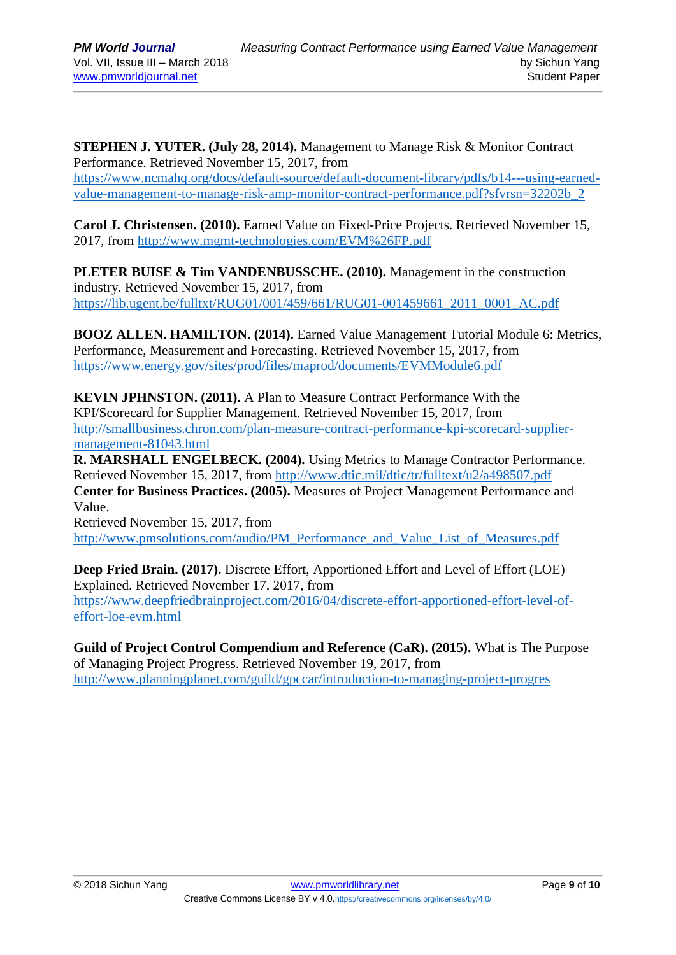**STEPHEN J. YUTER. (July 28, 2014).** Management to Manage Risk & Monitor Contract Performance. Retrieved November 15, 2017, from [https://www.ncmahq.org/docs/default-source/default-document-library/pdfs/b14---using-earned](https://www.ncmahq.org/docs/default-source/default-document-library/pdfs/b14---using-earned-value-management-to-manage-risk-amp-monitor-contract-performance.pdf?sfvrsn=32202b_2)[value-management-to-manage-risk-amp-monitor-contract-performance.pdf?sfvrsn=32202b\\_2](https://www.ncmahq.org/docs/default-source/default-document-library/pdfs/b14---using-earned-value-management-to-manage-risk-amp-monitor-contract-performance.pdf?sfvrsn=32202b_2)

**Carol J. Christensen. (2010).** Earned Value on Fixed-Price Projects. Retrieved November 15, 2017, from<http://www.mgmt-technologies.com/EVM%26FP.pdf>

**PLETER BUISE & Tim VANDENBUSSCHE. (2010).** Management in the construction industry. Retrieved November 15, 2017, from [https://lib.ugent.be/fulltxt/RUG01/001/459/661/RUG01-001459661\\_2011\\_0001\\_AC.pdf](https://lib.ugent.be/fulltxt/RUG01/001/459/661/RUG01-001459661_2011_0001_AC.pdf)

**BOOZ ALLEN. HAMILTON. (2014).** Earned Value Management Tutorial Module 6: Metrics, Performance, Measurement and Forecasting. Retrieved November 15, 2017, from <https://www.energy.gov/sites/prod/files/maprod/documents/EVMModule6.pdf>

**KEVIN JPHNSTON. (2011).** A Plan to Measure Contract Performance With the KPI/Scorecard for Supplier Management. Retrieved November 15, 2017, from [http://smallbusiness.chron.com/plan-measure-contract-performance-kpi-scorecard-supplier](http://smallbusiness.chron.com/plan-measure-contract-performance-kpi-scorecard-supplier-management-81043.html)[management-81043.html](http://smallbusiness.chron.com/plan-measure-contract-performance-kpi-scorecard-supplier-management-81043.html)

**R. MARSHALL ENGELBECK. (2004).** Using Metrics to Manage Contractor Performance. Retrieved November 15, 2017, from<http://www.dtic.mil/dtic/tr/fulltext/u2/a498507.pdf> **Center for Business Practices. (2005).** Measures of Project Management Performance and Value.

Retrieved November 15, 2017, from [http://www.pmsolutions.com/audio/PM\\_Performance\\_and\\_Value\\_List\\_of\\_Measures.pdf](http://www.pmsolutions.com/audio/PM_Performance_and_Value_List_of_Measures.pdf)

**Deep Fried Brain. (2017).** Discrete Effort, Apportioned Effort and Level of Effort (LOE) Explained. Retrieved November 17, 2017, from [https://www.deepfriedbrainproject.com/2016/04/discrete-effort-apportioned-effort-level-of](https://www.deepfriedbrainproject.com/2016/04/discrete-effort-apportioned-effort-level-of-effort-loe-evm.html)[effort-loe-evm.html](https://www.deepfriedbrainproject.com/2016/04/discrete-effort-apportioned-effort-level-of-effort-loe-evm.html)

**Guild of Project Control Compendium and Reference (CaR). (2015).** What is The Purpose of Managing Project Progress. Retrieved November 19, 2017, from <http://www.planningplanet.com/guild/gpccar/introduction-to-managing-project-progres>